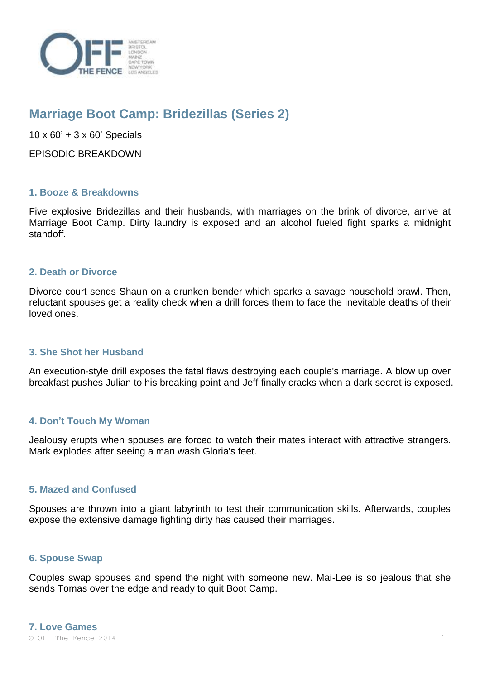

# **Marriage Boot Camp: Bridezillas (Series 2)**

 $10 \times 60' + 3 \times 60'$  Specials

EPISODIC BREAKDOWN

## **1. Booze & Breakdowns**

Five explosive Bridezillas and their husbands, with marriages on the brink of divorce, arrive at Marriage Boot Camp. Dirty laundry is exposed and an alcohol fueled fight sparks a midnight standoff.

#### **2. Death or Divorce**

Divorce court sends Shaun on a drunken bender which sparks a savage household brawl. Then, reluctant spouses get a reality check when a drill forces them to face the inevitable deaths of their loved ones.

#### **3. She Shot her Husband**

An execution-style drill exposes the fatal flaws destroying each couple's marriage. A blow up over breakfast pushes Julian to his breaking point and Jeff finally cracks when a dark secret is exposed.

# **4. Don't Touch My Woman**

Jealousy erupts when spouses are forced to watch their mates interact with attractive strangers. Mark explodes after seeing a man wash Gloria's feet.

#### **5. Mazed and Confused**

Spouses are thrown into a giant labyrinth to test their communication skills. Afterwards, couples expose the extensive damage fighting dirty has caused their marriages.

#### **6. Spouse Swap**

Couples swap spouses and spend the night with someone new. Mai-Lee is so jealous that she sends Tomas over the edge and ready to quit Boot Camp.